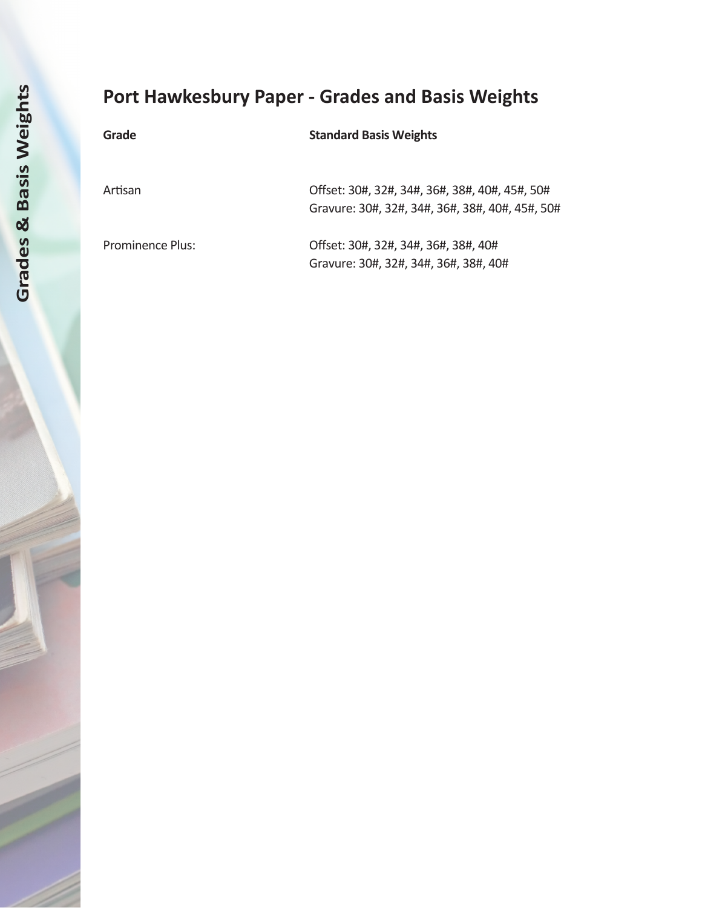# **Port Hawkesbury Paper - Grades and Basis Weights**

| Grade                   | <b>Standard Basis Weights</b>                   |
|-------------------------|-------------------------------------------------|
|                         |                                                 |
| Artisan                 | Offset: 30#, 32#, 34#, 36#, 38#, 40#, 45#, 50#  |
|                         | Gravure: 30#, 32#, 34#, 36#, 38#, 40#, 45#, 50# |
| <b>Prominence Plus:</b> | Offset: 30#, 32#, 34#, 36#, 38#, 40#            |
|                         | Gravure: 30#, 32#, 34#, 36#, 38#, 40#           |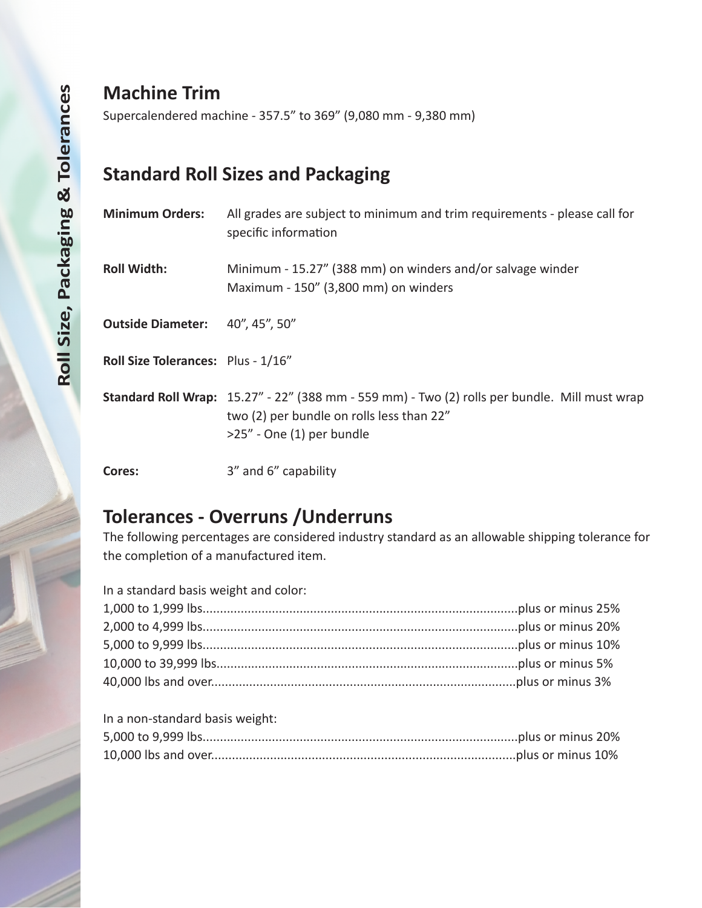# **Machine Trim**

Supercalendered machine - 357.5" to 369" (9,080 mm - 9,380 mm)

# **Standard Roll Sizes and Packaging**

| <b>Minimum Orders:</b>                    | All grades are subject to minimum and trim requirements - please call for<br>specific information                                                                          |
|-------------------------------------------|----------------------------------------------------------------------------------------------------------------------------------------------------------------------------|
| <b>Roll Width:</b>                        | Minimum - 15.27" (388 mm) on winders and/or salvage winder<br>Maximum - 150" (3,800 mm) on winders                                                                         |
| <b>Outside Diameter:</b>                  | 40", 45", 50"                                                                                                                                                              |
| <b>Roll Size Tolerances:</b> Plus - 1/16" |                                                                                                                                                                            |
|                                           | Standard Roll Wrap: 15.27" - 22" (388 mm - 559 mm) - Two (2) rolls per bundle. Mill must wrap<br>two (2) per bundle on rolls less than 22"<br>$>25$ " - One (1) per bundle |

**Cores:** 3" and 6" capability

# **Tolerances - Overruns /Underruns**

The following percentages are considered industry standard as an allowable shipping tolerance for the completion of a manufactured item.

| In a standard basis weight and color: |  |
|---------------------------------------|--|
|                                       |  |
|                                       |  |
|                                       |  |
|                                       |  |
|                                       |  |
|                                       |  |

| In a non-standard basis weight: |  |
|---------------------------------|--|
|                                 |  |
|                                 |  |